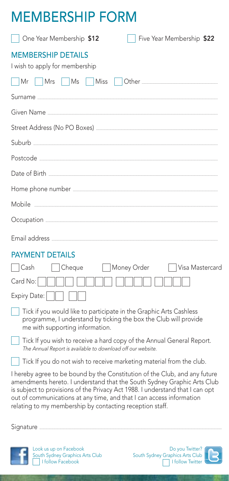## Membership Form

| One Year Membership \$12<br>Five Year Membership \$22                                                                                                                                                                                                                                                                                                                      |
|----------------------------------------------------------------------------------------------------------------------------------------------------------------------------------------------------------------------------------------------------------------------------------------------------------------------------------------------------------------------------|
| MEMBERSHIP DETAILS<br>I wish to apply for membership                                                                                                                                                                                                                                                                                                                       |
| Mrs<br>$\vert$ Ms<br>Miss<br>Mr                                                                                                                                                                                                                                                                                                                                            |
|                                                                                                                                                                                                                                                                                                                                                                            |
|                                                                                                                                                                                                                                                                                                                                                                            |
|                                                                                                                                                                                                                                                                                                                                                                            |
|                                                                                                                                                                                                                                                                                                                                                                            |
|                                                                                                                                                                                                                                                                                                                                                                            |
|                                                                                                                                                                                                                                                                                                                                                                            |
|                                                                                                                                                                                                                                                                                                                                                                            |
|                                                                                                                                                                                                                                                                                                                                                                            |
|                                                                                                                                                                                                                                                                                                                                                                            |
|                                                                                                                                                                                                                                                                                                                                                                            |
| <b>PAYMENT DETAILS</b>                                                                                                                                                                                                                                                                                                                                                     |
| $\vert$ $\vert$ Cash<br>Cheque<br>Money Order<br>Visa Mastercard                                                                                                                                                                                                                                                                                                           |
| Card No:                                                                                                                                                                                                                                                                                                                                                                   |
| Expiry Date:                                                                                                                                                                                                                                                                                                                                                               |
| Tick if you would like to participate in the Graphic Arts Cashless<br>programme, I understand by ticking the box the Club will provide<br>me with supporting information.                                                                                                                                                                                                  |
| Tick If you wish to receive a hard copy of the Annual General Report.<br>The Annual Report is available to download off our website.                                                                                                                                                                                                                                       |
| Tick If you do not wish to receive marketing material from the club.                                                                                                                                                                                                                                                                                                       |
| I hereby agree to be bound by the Constitution of the Club, and any future<br>amendments hereto. I understand that the South Sydney Graphic Arts Club<br>is subject to provisions of the Privacy Act 1988. I understand that I can opt<br>out of communications at any time, and that I can access information<br>relating to my membership by contacting reception staff. |

Signature .